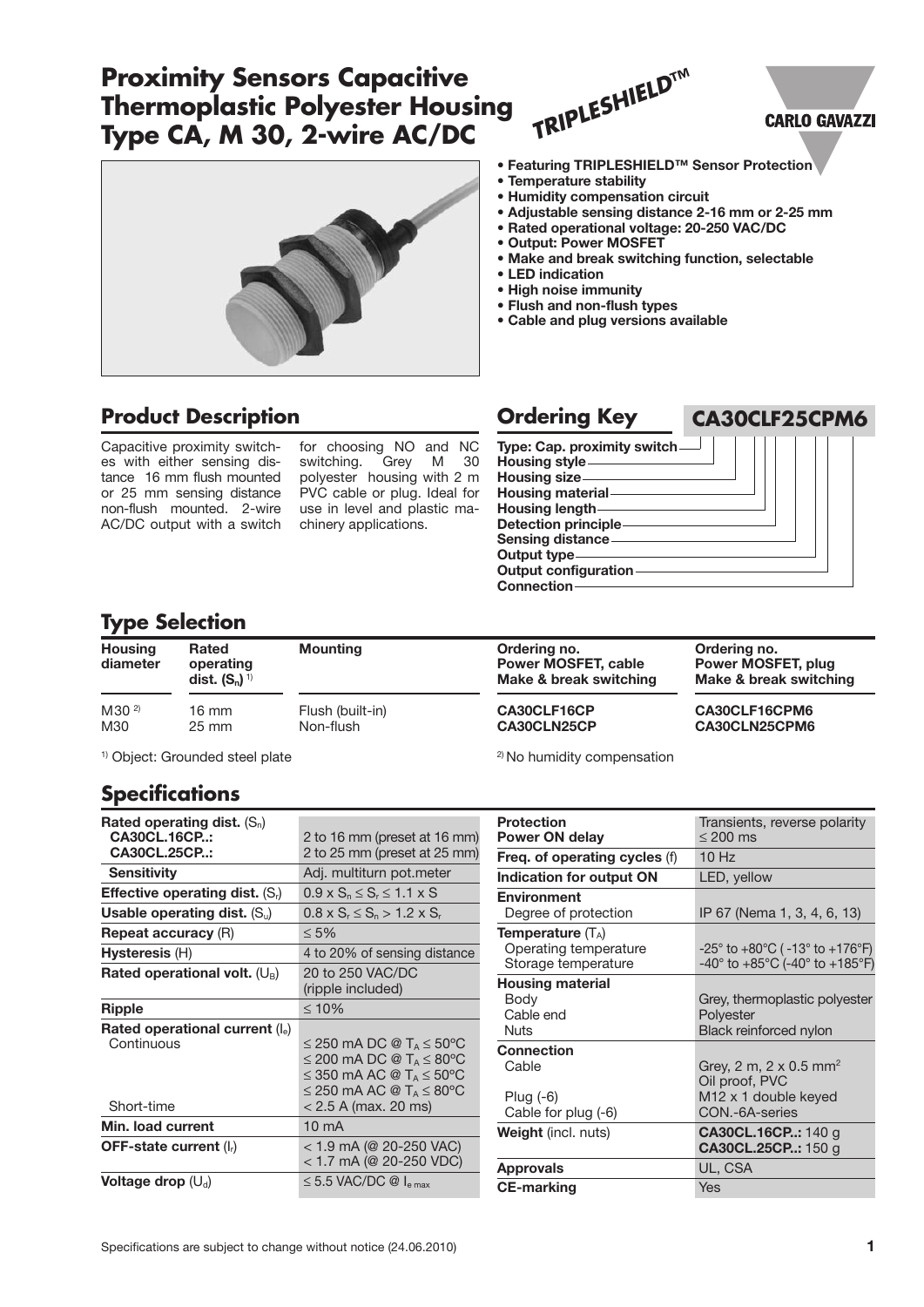# **Proximity Sensors Capacitive Thermoplastic Polyester Housing Type CA, M 30, 2-wire AC/DC**



### **Product Description Ordering Key**

Capacitive proximity switches with either sensing distance 16 mm flush mounted or 25 mm sensing distance non-flush mounted. 2-wire AC/DC output with a switch

for choosing NO and NC<br>switching. Grey M 30 switching. Grey M 30 polyester housing with 2 m PVC cable or plug. Ideal for use in level and plastic machinery applications.



- **• Humidity compensation circuit**
- **• Adjustable sensing distance 2-16 mm or 2-25 mm**
- **• Rated operational voltage: 20-250 VAC/DC**
- **• Output: Power MOSFET**
- **• Make and break switching function, selectable**

**CA30CLF25CPM6**

**CARLO GAVAZZI** 

- **• LED indication**
- **• High noise immunity**
- **• Flush and non-flush types**
- **• Cable and plug versions available**

**Type: Cap. proximity switch Housing style Housing size Housing material Housing length Detection principle Sensing distance Output type Output configuration Connection**

<sup>2)</sup> No humidity compensation

### **Type Selection**

| <b>Housing</b><br>diameter | <b>Rated</b><br>operating<br>dist. $(S_n)^{1}$ | <b>Mounting</b>  | Ordering no.<br><b>Power MOSFET, cable</b><br>Make & break switching | Ordering no.<br>Power MOSFET, plug<br>Make & break switching |  |  |
|----------------------------|------------------------------------------------|------------------|----------------------------------------------------------------------|--------------------------------------------------------------|--|--|
| $M30^{2}$                  | 16 mm                                          | Flush (built-in) | CA30CLF16CP                                                          | CA30CLF16CPM6                                                |  |  |
| M30                        | $25 \text{ mm}$                                | Non-flush        | CA30CLN25CP                                                          | CA30CLN25CPM6                                                |  |  |

<sup>1)</sup> Object: Grounded steel plate

# **Specifications**

| Rated operating dist. $(S_n)$              |                                             |  |  |  |
|--------------------------------------------|---------------------------------------------|--|--|--|
| CA30CL.16CP:                               | 2 to 16 mm (preset at 16 mm)                |  |  |  |
| CA30CL.25CP:                               | 2 to 25 mm (preset at 25 mm)                |  |  |  |
| <b>Sensitivity</b>                         | Adj. multiturn pot.meter                    |  |  |  |
| <b>Effective operating dist.</b> $(S_i)$   | $0.9 \times S_n \leq S_r \leq 1.1 \times S$ |  |  |  |
| Usable operating dist. $(S_u)$             | $0.8 \times S_r \leq S_n > 1.2 \times S_r$  |  |  |  |
| <b>Repeat accuracy (R)</b>                 | $\leq 5\%$                                  |  |  |  |
| Hysteresis (H)                             | 4 to 20% of sensing distance                |  |  |  |
| Rated operational volt. $(U_B)$            | 20 to 250 VAC/DC                            |  |  |  |
|                                            | (ripple included)                           |  |  |  |
| Ripple                                     | $\leq 10\%$                                 |  |  |  |
| Rated operational current $(I_e)$          |                                             |  |  |  |
| Continuous                                 | ≤ 250 mA DC @ T <sub>A</sub> ≤ 50°C         |  |  |  |
|                                            | ≤ 200 mA DC @ T <sub>A</sub> ≤ 80°C         |  |  |  |
|                                            | ≤ 350 mA AC @ T <sub>A</sub> ≤ 50°C         |  |  |  |
|                                            | ≤ 250 mA AC @ T <sub>A</sub> $\leq$ 80°C    |  |  |  |
| Short-time                                 | $< 2.5$ A (max. 20 ms)                      |  |  |  |
| Min. load current                          | $10 \text{ mA}$                             |  |  |  |
| <b>OFF-state current (<math>Ir</math>)</b> | < 1.9 mA (@ 20-250 VAC)                     |  |  |  |
|                                            | < 1.7 mA (@ 20-250 VDC)                     |  |  |  |
| Voltage drop $(U_d)$                       | $\leq$ 5.5 VAC/DC @ $I_{\text{e max}}$      |  |  |  |

| <b>Protection</b>             | Transients, reverse polarity                                          |  |  |  |
|-------------------------------|-----------------------------------------------------------------------|--|--|--|
| <b>Power ON delay</b>         | $\leq 200$ ms                                                         |  |  |  |
| Freq. of operating cycles (f) | $10$ Hz                                                               |  |  |  |
| Indication for output ON      | LED, yellow                                                           |  |  |  |
| <b>Environment</b>            |                                                                       |  |  |  |
| Degree of protection          | IP 67 (Nema 1, 3, 4, 6, 13)                                           |  |  |  |
| <b>Temperature</b> $(T_A)$    |                                                                       |  |  |  |
| Operating temperature         | $-25^{\circ}$ to $+80^{\circ}$ C ( $-13^{\circ}$ to $+176^{\circ}$ F) |  |  |  |
| Storage temperature           | $-40^{\circ}$ to $+85^{\circ}$ C (-40 $^{\circ}$ to $+185^{\circ}$ F) |  |  |  |
| <b>Housing material</b>       |                                                                       |  |  |  |
| Body                          | Grey, thermoplastic polyester                                         |  |  |  |
| Cable end                     | Polyester                                                             |  |  |  |
| Nuts                          | <b>Black reinforced nylon</b>                                         |  |  |  |
| Connection                    |                                                                       |  |  |  |
| Cable                         | Grey, 2 m, 2 x 0.5 mm <sup>2</sup>                                    |  |  |  |
|                               | Oil proof, PVC                                                        |  |  |  |
| Plug $(-6)$                   | M <sub>12</sub> x 1 double keyed                                      |  |  |  |
| Cable for plug (-6)           | CON.-6A-series                                                        |  |  |  |
| <b>Weight</b> (incl. nuts)    | <b>CA30CL.16CP: 140 g</b>                                             |  |  |  |
|                               | CA30CL.25CP: 150 g                                                    |  |  |  |
| <b>Approvals</b>              | UL, CSA                                                               |  |  |  |
| <b>CE-marking</b>             | Yes                                                                   |  |  |  |
|                               |                                                                       |  |  |  |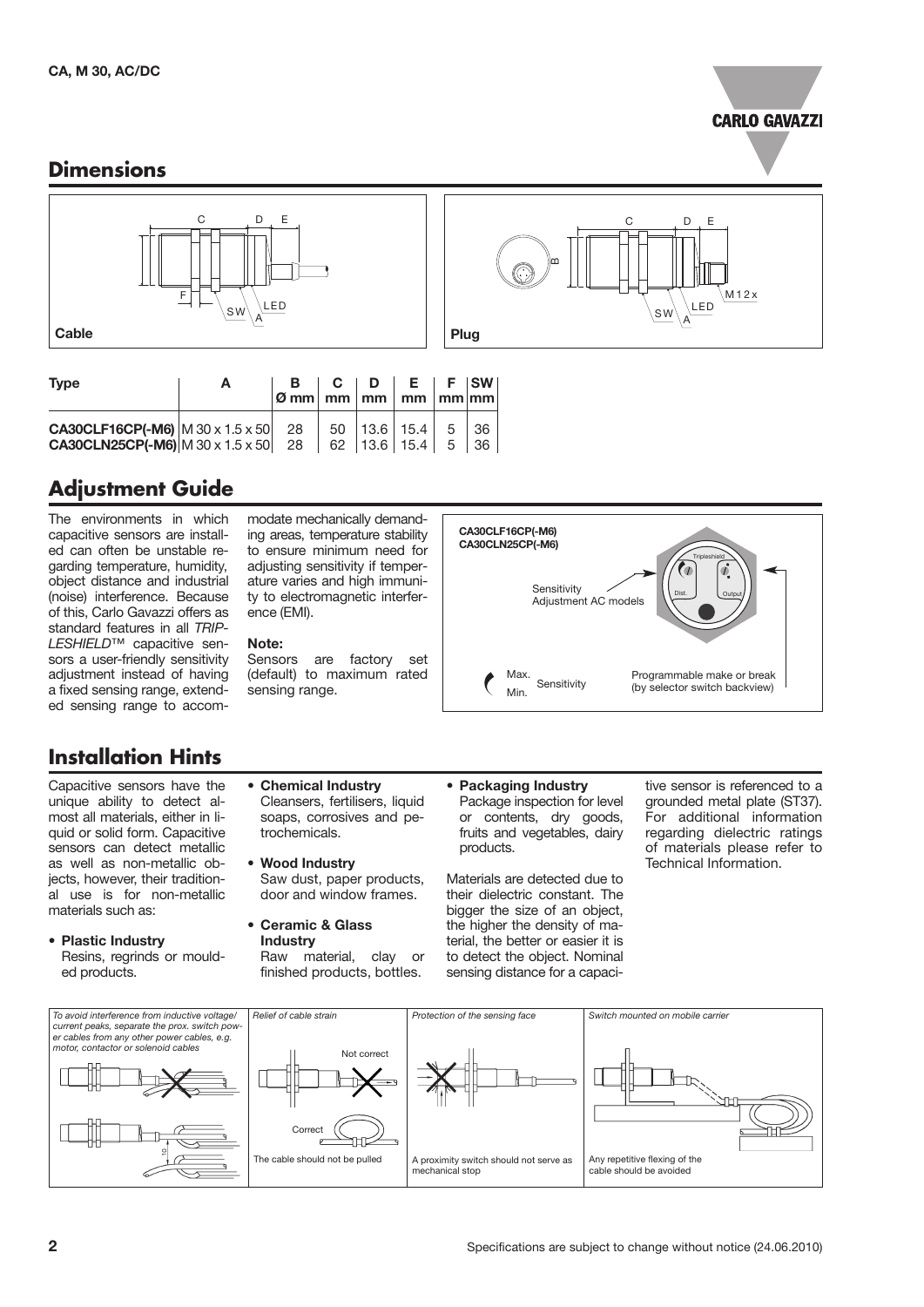

#### **Dimensions**



| <b>Type</b>                                                                                                                                                                                                                                                                                               | $\varphi$ mm $\lfloor$ mm $\lfloor$ mm $\lfloor$ mm $\lfloor$ mm $\lfloor$ mm $\lfloor$ |  | $B \mid C \mid D \mid E \mid F \mid SW \mid$ |  |
|-----------------------------------------------------------------------------------------------------------------------------------------------------------------------------------------------------------------------------------------------------------------------------------------------------------|-----------------------------------------------------------------------------------------|--|----------------------------------------------|--|
| <b>CA30CLF16CP(-M6)</b> $\begin{array}{ c c c c c c } \hline \textbf{CA30CLF16CP}(\textbf{-M6}) & \textbf{M} & 30 \times 1.5 \times 50 & 28 & 50 & 13.6 & 15.4 & 5 & 36 \\ \hline \textbf{CA30CLN25CP}(\textbf{-M6}) & \textbf{M} & 30 \times 1.5 \times 50 & 28 & 62 & 13.6 & 15.4 & 5 & 36 \end{array}$ |                                                                                         |  |                                              |  |

# **Adjustment Guide**

The environments in which capacitive sensors are installed can often be unstable regarding temperature, humidity, object distance and industrial (noise) interference. Because of this, Carlo Gavazzi offers as standard features in all *TRIP-LESHIELD*™ capacitive sensors a user-friendly sensitivity adjustment instead of having a fixed sensing range, extended sensing range to accom-

# **Installation Hints**

Capacitive sensors have the unique ability to detect almost all materials, either in liquid or solid form. Capacitive sensors can detect metallic as well as non-metallic objects, however, their traditional use is for non-metallic materials such as:

• **Plastic Industry** Resins, regrinds or moulded products.

modate mechanically demanding areas, temperature stability to ensure minimum need for adjusting sensitivity if temperature varies and high immunity to electromagnetic interference (EMI).

#### **Note:**

Sensors are factory set (default) to maximum rated sensing range.

Cleansers, fertilisers, liquid soaps, corrosives and pe-

Saw dust, paper products, door and window frames.

Raw material, clay or finished products, bottles.

• **Chemical Industry**

trochemicals. • **Wood Industry**

• **Ceramic & Glass Industry**



C D

 $\mathsf{S}\mathsf{W}\backslash\mathsf{A}$ 

LED

E

M 1 2 x

• **Packaging Industry** Package inspection for level or contents, dry goods, fruits and vegetables, dairy products.

œ

Materials are detected due to their dielectric constant. The bigger the size of an object, the higher the density of material, the better or easier it is to detect the object. Nominal sensing distance for a capacitive sensor is referenced to a grounded metal plate (ST37). For additional information regarding dielectric ratings of materials please refer to Technical Information.